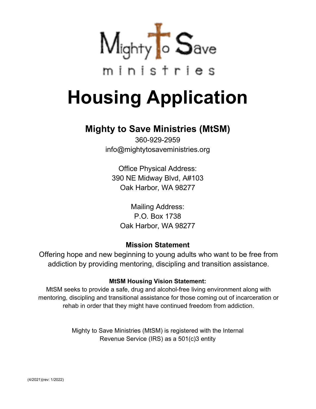

# **Housing Application**

## **Mighty to Save Ministries (MtSM)**

360-929-2959 info@mightytosaveministries.org

Office Physical Address: 390 NE Midway Blvd, A#103 Oak Harbor, WA 98277

Mailing Address: P.O. Box 1738 Oak Harbor, WA 98277

### **Mission Statement**

Offering hope and new beginning to young adults who want to be free from addiction by providing mentoring, discipling and transition assistance.

#### **MtSM Housing Vision Statement:**

MtSM seeks to provide a safe, drug and alcohol-free living environment along with mentoring, discipling and transitional assistance for those coming out of incarceration or rehab in order that they might have continued freedom from addiction.

> Mighty to Save Ministries (MtSM) is registered with the Internal Revenue Service (IRS) as a 501(c)3 entity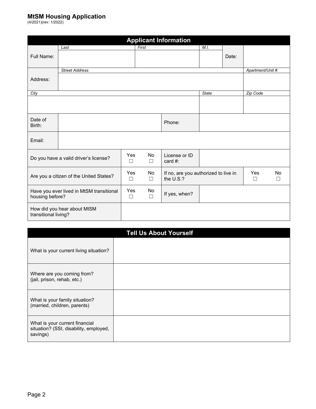(4/2021)(rev: 1/2022)

| <b>Applicant Information</b>                                |                                         |               |              |                                      |      |       |                  |           |  |  |
|-------------------------------------------------------------|-----------------------------------------|---------------|--------------|--------------------------------------|------|-------|------------------|-----------|--|--|
|                                                             | Last                                    |               | First        |                                      | M.I. |       |                  |           |  |  |
| Full Name:                                                  |                                         |               |              |                                      |      | Date: |                  |           |  |  |
|                                                             |                                         |               |              |                                      |      |       |                  |           |  |  |
|                                                             | <b>Street Address</b>                   |               |              |                                      |      |       | Apartment/Unit # |           |  |  |
| Address:                                                    |                                         |               |              |                                      |      |       |                  |           |  |  |
|                                                             |                                         |               |              |                                      |      |       |                  |           |  |  |
| City                                                        |                                         | Zip Code      |              |                                      |      |       |                  |           |  |  |
|                                                             |                                         |               |              |                                      |      |       |                  |           |  |  |
|                                                             |                                         |               |              |                                      |      |       |                  |           |  |  |
| Date of                                                     |                                         |               |              |                                      |      |       |                  |           |  |  |
| Birth:                                                      |                                         |               |              | Phone:                               |      |       |                  |           |  |  |
|                                                             |                                         |               |              |                                      |      |       |                  |           |  |  |
| Email:                                                      |                                         |               |              |                                      |      |       |                  |           |  |  |
|                                                             |                                         |               |              |                                      |      |       |                  |           |  |  |
|                                                             | Do you have a valid driver's license?   | Yes           | No           | License or ID                        |      |       |                  |           |  |  |
|                                                             |                                         | □             | $\Box$       | card $#$ :                           |      |       |                  |           |  |  |
|                                                             |                                         | Yes           | <b>No</b>    | If no, are you authorized to live in |      |       | Yes              | <b>No</b> |  |  |
|                                                             | Are you a citizen of the United States? | $\Box$        | $\Box$       | the U.S.?                            |      |       | $\Box$           | $\Box$    |  |  |
|                                                             |                                         |               |              |                                      |      |       |                  |           |  |  |
| Have you ever lived in MtSM transitional<br>housing before? |                                         | Yes<br>$\Box$ | No<br>$\Box$ | If yes, when?                        |      |       |                  |           |  |  |
|                                                             |                                         |               |              |                                      |      |       |                  |           |  |  |
|                                                             | How did you hear about MtSM             |               |              |                                      |      |       |                  |           |  |  |
| transitional living?                                        |                                         |               |              |                                      |      |       |                  |           |  |  |

|                                                                                      | <b>Tell Us About Yourself</b> |  |  |  |  |  |  |
|--------------------------------------------------------------------------------------|-------------------------------|--|--|--|--|--|--|
| What is your current living situation?                                               |                               |  |  |  |  |  |  |
| Where are you coming from?<br>(jail, prison, rehab, etc.)                            |                               |  |  |  |  |  |  |
| What is your family situation?<br>(married, children, parents)                       |                               |  |  |  |  |  |  |
| What is your current financial<br>situation? (SSI, disability, employed,<br>savings) |                               |  |  |  |  |  |  |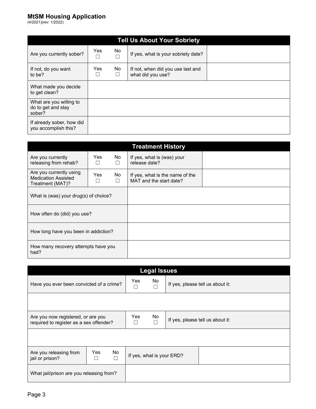(4/2021)(rev: 1/2022)

| <b>Tell Us About Your Sobriety</b>                      |          |     |                                                        |  |  |  |  |  |
|---------------------------------------------------------|----------|-----|--------------------------------------------------------|--|--|--|--|--|
| Are you currently sober?                                | Yes<br>П | No  | If yes, what is your sobriety date?                    |  |  |  |  |  |
| If not, do you want<br>to be?                           | Yes      | No. | If not, when did you use last and<br>what did you use? |  |  |  |  |  |
| What made you decide<br>to get clean?                   |          |     |                                                        |  |  |  |  |  |
| What are you willing to<br>do to get and stay<br>sober? |          |     |                                                        |  |  |  |  |  |
| If already sober, how did<br>you accomplish this?       |          |     |                                                        |  |  |  |  |  |

|                                                                           |                            |         | <b>Treatment History</b>                                   |  |
|---------------------------------------------------------------------------|----------------------------|---------|------------------------------------------------------------|--|
| Are you currently<br>releasing from rehab?                                | Yes<br>П                   | No<br>П | If yes, what is (was) your<br>release date?                |  |
| Are you currently using<br><b>Medication Assisted</b><br>Treatment (MAT)? | <b>Yes</b><br>$\mathbf{I}$ | No<br>П | If yes, what is the name of the<br>MAT and the start date? |  |
| What is (was) your drug(s) of choice?                                     |                            |         |                                                            |  |
| How often do (did) you use?                                               |                            |         |                                                            |  |
| How long have you been in addiction?                                      |                            |         |                                                            |  |
| How many recovery attempts have you<br>had?                               |                            |         |                                                            |  |

| <b>Legal Issues</b>                                                           |          |     |                           |                                  |  |  |  |  |
|-------------------------------------------------------------------------------|----------|-----|---------------------------|----------------------------------|--|--|--|--|
| Have you ever been convicted of a crime?                                      | Yes.     | No  |                           | If yes, please tell us about it: |  |  |  |  |
|                                                                               |          |     |                           |                                  |  |  |  |  |
| Are you now registered, or are you<br>required to register as a sex offender? | Yes      | No. |                           | If yes, please tell us about it: |  |  |  |  |
|                                                                               |          |     |                           |                                  |  |  |  |  |
| Are you releasing from<br>jail or prison?                                     | Yes<br>П | No. | If yes, what is your ERD? |                                  |  |  |  |  |
| What jail/prison are you releasing from?                                      |          |     |                           |                                  |  |  |  |  |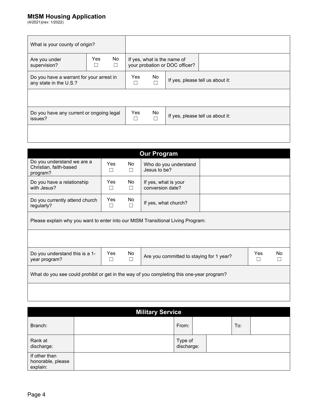(4/2021)(rev: 1/2022)

| What is your county of origin?                                     |          |         |                                                               |          |  |                                  |
|--------------------------------------------------------------------|----------|---------|---------------------------------------------------------------|----------|--|----------------------------------|
| Are you under<br>supervision?                                      | Yes<br>П | No<br>П | If yes, what is the name of<br>your probation or DOC officer? |          |  |                                  |
| Do you have a warrant for your arrest in<br>any state in the U.S.? | Yes<br>П | No.     | If yes, please tell us about it:                              |          |  |                                  |
|                                                                    |          |         |                                                               |          |  |                                  |
| Do you have any current or ongoing legal<br>issues?                |          |         | Yes<br>П                                                      | No.<br>□ |  | If yes, please tell us about it: |
|                                                                    |          |         |                                                               |          |  |                                  |

| <b>Our Program</b>                                                                        |               |                     |                                                      |  |  |                       |  |  |  |  |
|-------------------------------------------------------------------------------------------|---------------|---------------------|------------------------------------------------------|--|--|-----------------------|--|--|--|--|
| Do you understand we are a<br>Christian, faith-based<br>program?                          | Yes<br>П      | <b>No</b><br>$\Box$ | Who do you understand<br>Jesus to be?                |  |  |                       |  |  |  |  |
| Do you have a relationship<br>with Jesus?                                                 | Yes           | <b>No</b><br>П      | If yes, what is your<br>conversion date?             |  |  |                       |  |  |  |  |
| Do you currently attend church<br>regularly?                                              | Yes<br>П      | No<br>П             | If yes, what church?                                 |  |  |                       |  |  |  |  |
| Please explain why you want to enter into our MtSM Transitional Living Program:           |               |                     |                                                      |  |  |                       |  |  |  |  |
| Do you understand this is a 1-<br>year program?                                           | Yes<br>$\Box$ | No.<br>П            | Yes<br>Are you committed to staying for 1 year?<br>П |  |  | No.<br>$\blacksquare$ |  |  |  |  |
| What do you see could prohibit or get in the way of you completing this one-year program? |               |                     |                                                      |  |  |                       |  |  |  |  |
|                                                                                           |               |                     |                                                      |  |  |                       |  |  |  |  |

| <b>Military Service</b>                        |  |                       |  |  |     |  |  |  |  |
|------------------------------------------------|--|-----------------------|--|--|-----|--|--|--|--|
| Branch:                                        |  | From:                 |  |  | To: |  |  |  |  |
| Rank at<br>discharge:                          |  | Type of<br>discharge: |  |  |     |  |  |  |  |
| If other than<br>honorable, please<br>explain: |  |                       |  |  |     |  |  |  |  |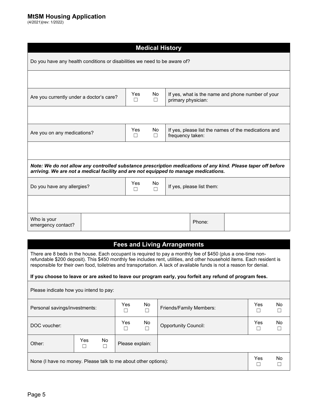(4/2021)(rev: 1/2022)

| <b>Medical History</b>                                                                                                                                                                                                                                                                                                                                          |                                                                                                                                                                                                     |          |               |                                     |                                                                         |  |               |              |  |
|-----------------------------------------------------------------------------------------------------------------------------------------------------------------------------------------------------------------------------------------------------------------------------------------------------------------------------------------------------------------|-----------------------------------------------------------------------------------------------------------------------------------------------------------------------------------------------------|----------|---------------|-------------------------------------|-------------------------------------------------------------------------|--|---------------|--------------|--|
| Do you have any health conditions or disabilities we need to be aware of?                                                                                                                                                                                                                                                                                       |                                                                                                                                                                                                     |          |               |                                     |                                                                         |  |               |              |  |
|                                                                                                                                                                                                                                                                                                                                                                 |                                                                                                                                                                                                     |          |               |                                     |                                                                         |  |               |              |  |
|                                                                                                                                                                                                                                                                                                                                                                 |                                                                                                                                                                                                     |          |               |                                     |                                                                         |  |               |              |  |
| Are you currently under a doctor's care?                                                                                                                                                                                                                                                                                                                        |                                                                                                                                                                                                     | Yes<br>П | No<br>$\Box$  |                                     | If yes, what is the name and phone number of your<br>primary physician: |  |               |              |  |
|                                                                                                                                                                                                                                                                                                                                                                 |                                                                                                                                                                                                     |          |               |                                     |                                                                         |  |               |              |  |
| Are you on any medications?                                                                                                                                                                                                                                                                                                                                     |                                                                                                                                                                                                     | Yes<br>П | No.<br>$\Box$ | frequency taken:                    | If yes, please list the names of the medications and                    |  |               |              |  |
|                                                                                                                                                                                                                                                                                                                                                                 |                                                                                                                                                                                                     |          |               |                                     |                                                                         |  |               |              |  |
|                                                                                                                                                                                                                                                                                                                                                                 | Note: We do not allow any controlled substance prescription medications of any kind. Please taper off before<br>arriving. We are not a medical facility and are not equipped to manage medications. |          |               |                                     |                                                                         |  |               |              |  |
| Do you have any allergies?                                                                                                                                                                                                                                                                                                                                      |                                                                                                                                                                                                     | Yes<br>П | No<br>$\Box$  | If yes, please list them:           |                                                                         |  |               |              |  |
|                                                                                                                                                                                                                                                                                                                                                                 |                                                                                                                                                                                                     |          |               |                                     |                                                                         |  |               |              |  |
| Who is your<br>emergency contact?                                                                                                                                                                                                                                                                                                                               |                                                                                                                                                                                                     |          |               |                                     | Phone:                                                                  |  |               |              |  |
|                                                                                                                                                                                                                                                                                                                                                                 |                                                                                                                                                                                                     |          |               |                                     |                                                                         |  |               |              |  |
|                                                                                                                                                                                                                                                                                                                                                                 |                                                                                                                                                                                                     |          |               | <b>Fees and Living Arrangements</b> |                                                                         |  |               |              |  |
| There are 8 beds in the house. Each occupant is required to pay a monthly fee of \$450 (plus a one-time non-<br>refundable \$200 deposit). This \$450 monthly fee includes rent, utilities, and other household items. Each resident is<br>responsible for their own food, toiletries and transportation. A lack of available funds is not a reason for denial. |                                                                                                                                                                                                     |          |               |                                     |                                                                         |  |               |              |  |
| If you choose to leave or are asked to leave our program early, you forfeit any refund of program fees.                                                                                                                                                                                                                                                         |                                                                                                                                                                                                     |          |               |                                     |                                                                         |  |               |              |  |
| Please indicate how you intend to pay:                                                                                                                                                                                                                                                                                                                          |                                                                                                                                                                                                     |          |               |                                     |                                                                         |  |               |              |  |
| Personal savings/investments:                                                                                                                                                                                                                                                                                                                                   | $\Box$                                                                                                                                                                                              | Yes      | No<br>□       |                                     | Friends/Family Members:                                                 |  | Yes<br>□      | No<br>$\Box$ |  |
| DOC voucher:                                                                                                                                                                                                                                                                                                                                                    | Yes<br>$\Box$                                                                                                                                                                                       |          | No<br>□       | <b>Opportunity Council:</b>         |                                                                         |  | Yes<br>$\Box$ | No<br>$\Box$ |  |

| Other:                                                         | Yes | No | Please explain: |     |    |
|----------------------------------------------------------------|-----|----|-----------------|-----|----|
| None (I have no money. Please talk to me about other options): |     |    |                 | Yes | No |